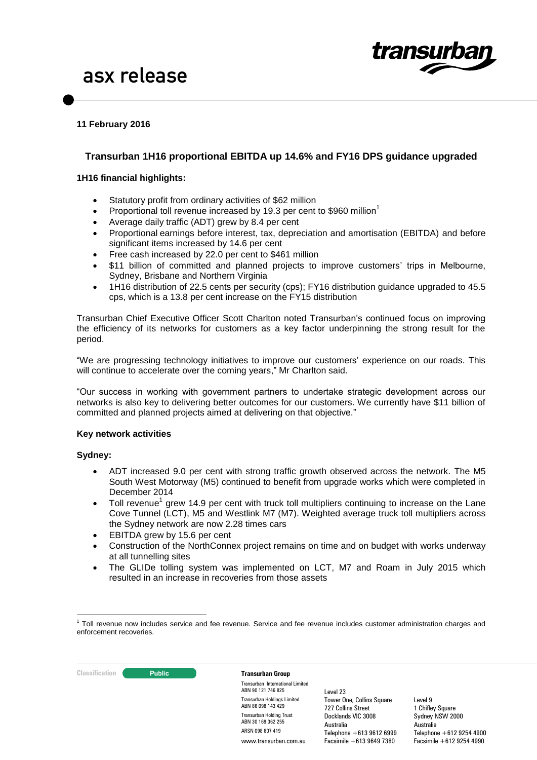

# **11 February 2016**

# **Transurban 1H16 proportional EBITDA up 14.6% and FY16 DPS guidance upgraded**

### **1H16 financial highlights:**

- Statutory profit from ordinary activities of \$62 million
- Proportional toll revenue increased by 19.3 per cent to \$960 million<sup>1</sup>
- Average daily traffic (ADT) grew by 8.4 per cent
- Proportional earnings before interest, tax, depreciation and amortisation (EBITDA) and before significant items increased by 14.6 per cent
- Free cash increased by 22.0 per cent to \$461 million
- \$11 billion of committed and planned projects to improve customers' trips in Melbourne, Sydney, Brisbane and Northern Virginia
- 1H16 distribution of 22.5 cents per security (cps); FY16 distribution guidance upgraded to 45.5 cps, which is a 13.8 per cent increase on the FY15 distribution

Transurban Chief Executive Officer Scott Charlton noted Transurban's continued focus on improving the efficiency of its networks for customers as a key factor underpinning the strong result for the period.

"We are progressing technology initiatives to improve our customers' experience on our roads. This will continue to accelerate over the coming years," Mr Charlton said.

"Our success in working with government partners to undertake strategic development across our networks is also key to delivering better outcomes for our customers. We currently have \$11 billion of committed and planned projects aimed at delivering on that objective."

### **Key network activities**

### **Sydney:**

- ADT increased 9.0 per cent with strong traffic growth observed across the network. The M5 South West Motorway (M5) continued to benefit from upgrade works which were completed in December 2014
- $\bullet$  Toll revenue<sup>1</sup> grew 14.9 per cent with truck toll multipliers continuing to increase on the Lane Cove Tunnel (LCT), M5 and Westlink M7 (M7). Weighted average truck toll multipliers across the Sydney network are now 2.28 times cars
- EBITDA grew by 15.6 per cent
- Construction of the NorthConnex project remains on time and on budget with works underway at all tunnelling sites
- The GLIDe tolling system was implemented on LCT, M7 and Roam in July 2015 which resulted in an increase in recoveries from those assets

**Classification Transurban Group** 

Transurban International Limited ABN 90 121 746 825 Transurban Holdings Limited ABN 86 098 143 429 Transurban Holding Trust ABN 30 169 362 255 ARSN 098 807 419 www.transurban.com.au

Level 23 Tower One, Collins Square 727 Collins Street Docklands VIC 3008 Australia Telephone +613 9612 6999 Facsimile +613 9649 7380

<sup>1</sup> <sup>1</sup> Toll revenue now includes service and fee revenue. Service and fee revenue includes customer administration charges and enforcement recoveries.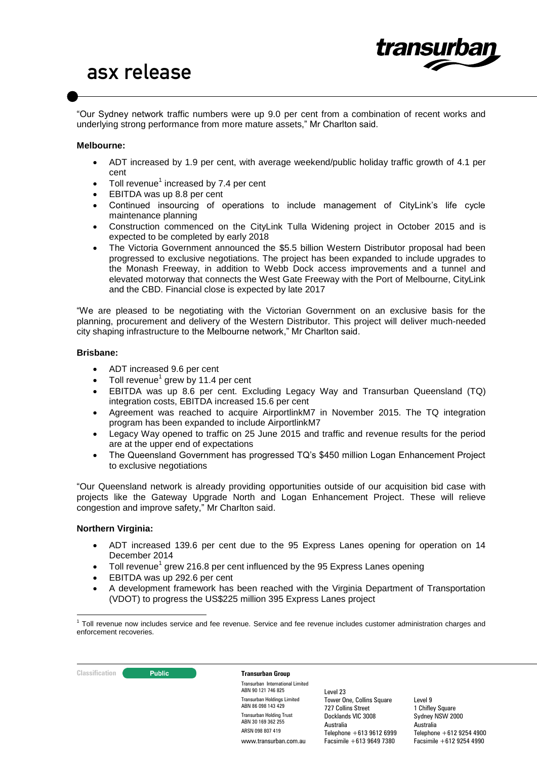

"Our Sydney network traffic numbers were up 9.0 per cent from a combination of recent works and underlying strong performance from more mature assets," Mr Charlton said.

### **Melbourne:**

- ADT increased by 1.9 per cent, with average weekend/public holiday traffic growth of 4.1 per cent
- Toll revenue<sup>1</sup> increased by 7.4 per cent
- EBITDA was up 8.8 per cent
- Continued insourcing of operations to include management of CityLink's life cycle maintenance planning
- Construction commenced on the CityLink Tulla Widening project in October 2015 and is expected to be completed by early 2018
- The Victoria Government announced the \$5.5 billion Western Distributor proposal had been progressed to exclusive negotiations. The project has been expanded to include upgrades to the Monash Freeway, in addition to Webb Dock access improvements and a tunnel and elevated motorway that connects the West Gate Freeway with the Port of Melbourne, CityLink and the CBD. Financial close is expected by late 2017

"We are pleased to be negotiating with the Victorian Government on an exclusive basis for the planning, procurement and delivery of the Western Distributor. This project will deliver much-needed city shaping infrastructure to the Melbourne network," Mr Charlton said.

### **Brisbane:**

- ADT increased 9.6 per cent
- $\bullet$  Toll revenue<sup>1</sup> grew by 11.4 per cent
- EBITDA was up 8.6 per cent. Excluding Legacy Way and Transurban Queensland (TQ) integration costs, EBITDA increased 15.6 per cent
- Agreement was reached to acquire AirportlinkM7 in November 2015. The TQ integration program has been expanded to include AirportlinkM7
- Legacy Way opened to traffic on 25 June 2015 and traffic and revenue results for the period are at the upper end of expectations
- The Queensland Government has progressed TQ's \$450 million Logan Enhancement Project to exclusive negotiations

"Our Queensland network is already providing opportunities outside of our acquisition bid case with projects like the Gateway Upgrade North and Logan Enhancement Project. These will relieve congestion and improve safety," Mr Charlton said.

# **Northern Virginia:**

- ADT increased 139.6 per cent due to the 95 Express Lanes opening for operation on 14 December 2014
- $\bullet$  Toll revenue<sup>1</sup> grew 216.8 per cent influenced by the 95 Express Lanes opening
- EBITDA was up 292.6 per cent
- A development framework has been reached with the Virginia Department of Transportation (VDOT) to progress the US\$225 million 395 Express Lanes project

### **Classification Transurban Group**

Transurban International Limited ABN 90 121 746 825 Transurban Holdings Limited ABN 86 098 143 429 Transurban Holding Trust ABN 30 169 362 255 ARSN 098 807 419 www.transurban.com.au

Level 23 Tower One, Collins Square 727 Collins Street Docklands VIC 3008 Australia Telephone +613 9612 6999 Facsimile +613 9649 7380

 1 Toll revenue now includes service and fee revenue. Service and fee revenue includes customer administration charges and enforcement recoveries.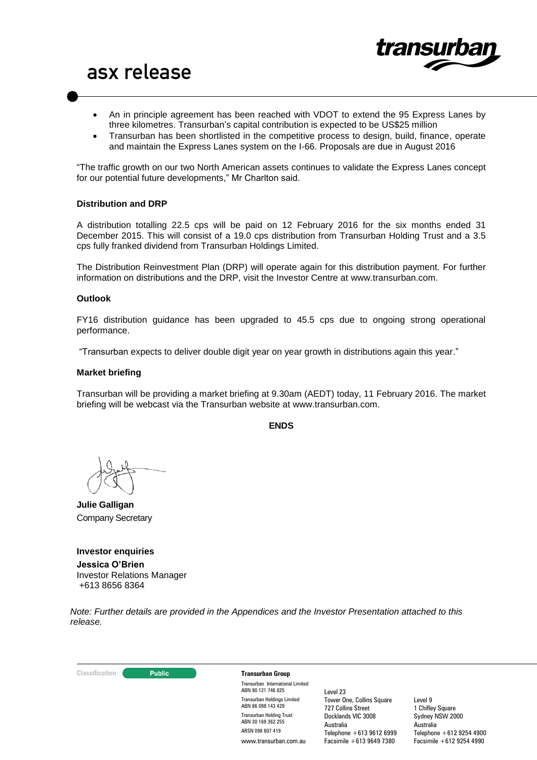

- An in principle agreement has been reached with VDOT to extend the 95 Express Lanes by three kilometres. Transurban's capital contribution is expected to be US\$25 million
- Transurban has been shortlisted in the competitive process to design, build, finance, operate and maintain the Express Lanes system on the I-66. Proposals are due in August 2016

"The traffic growth on our two North American assets continues to validate the Express Lanes concept for our potential future developments," Mr Charlton said.

### **Distribution and DRP**

A distribution totalling 22.5 cps will be paid on 12 February 2016 for the six months ended 31 December 2015. This will consist of a 19.0 cps distribution from Transurban Holding Trust and a 3.5 cps fully franked dividend from Transurban Holdings Limited.

The Distribution Reinvestment Plan (DRP) will operate again for this distribution payment. For further information on distributions and the DRP, visit the Investor Centre at [www.transurban.com.](http://www.transurban.com/)

#### **Outlook**

FY16 distribution guidance has been upgraded to 45.5 cps due to ongoing strong operational performance.

"Transurban expects to deliver double digit year on year growth in distributions again this year."

### **Market briefing**

Transurban will be providing a market briefing at 9.30am (AEDT) today, 11 February 2016. The market briefing will be webcast via the Transurban website at www.transurban.com.

**ENDS**

**Julie Galligan** Company Secretary

**Investor enquiries Jessica O'Brien**  Investor Relations Manager +613 8656 8364

*Note: Further details are provided in the Appendices and the Investor Presentation attached to this release.*

#### **Classification Transurban Group**

Transurban International Limited ABN 90 121 746 825 Transurban Holdings Limited ABN 86 098 143 429 Transurban Holding Trust ABN 30 169 362 255 ARSN 098 807 419 www.transurban.com.au

Level 23 Tower One, Collins Square 727 Collins Street Docklands VIC 3008 Australia Telephone +613 9612 6999 Facsimile +613 9649 7380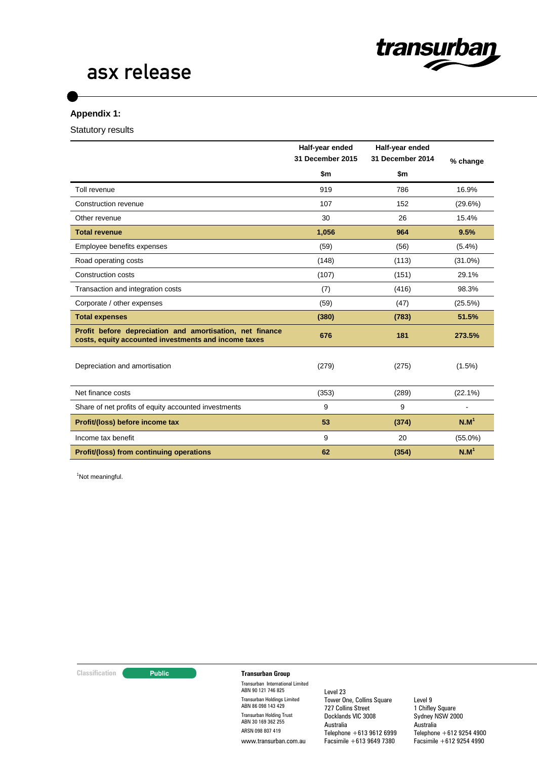

# **Appendix 1:**

Statutory results

|                                                                                                                  | Half-year ended<br>31 December 2015 | Half-year ended<br>31 December 2014 | % change         |
|------------------------------------------------------------------------------------------------------------------|-------------------------------------|-------------------------------------|------------------|
|                                                                                                                  | \$m                                 | \$m                                 |                  |
| Toll revenue                                                                                                     | 919                                 | 786                                 | 16.9%            |
| Construction revenue                                                                                             | 107                                 | 152                                 | (29.6%)          |
| Other revenue                                                                                                    | 30                                  | 26                                  | 15.4%            |
| <b>Total revenue</b>                                                                                             | 1,056                               | 964                                 | 9.5%             |
| Employee benefits expenses                                                                                       | (59)                                | (56)                                | $(5.4\%)$        |
| Road operating costs                                                                                             | (148)                               | (113)                               | $(31.0\%)$       |
| <b>Construction costs</b>                                                                                        | (107)                               | (151)                               | 29.1%            |
| Transaction and integration costs                                                                                | (7)                                 | (416)                               | 98.3%            |
| Corporate / other expenses                                                                                       | (59)                                | (47)                                | (25.5%)          |
| <b>Total expenses</b>                                                                                            | (380)                               | (783)                               | 51.5%            |
| Profit before depreciation and amortisation, net finance<br>costs, equity accounted investments and income taxes | 676                                 | 181                                 | 273.5%           |
| Depreciation and amortisation                                                                                    | (279)                               | (275)                               | $(1.5\%)$        |
| Net finance costs                                                                                                | (353)                               | (289)                               | $(22.1\%)$       |
| Share of net profits of equity accounted investments                                                             | 9                                   | 9                                   |                  |
| Profit/(loss) before income tax                                                                                  | 53                                  | (374)                               | N.M <sup>1</sup> |
| Income tax benefit                                                                                               | 9                                   | 20                                  | $(55.0\%)$       |
| <b>Profit/(loss) from continuing operations</b>                                                                  | 62                                  | (354)                               | N.M <sup>1</sup> |

<sup>1</sup>Not meaningful.

### **Classification Transurban Group**

Transurban International Limited ABN 90 121 746 825 Transurban Holdings Limited ABN 86 098 143 429 Transurban Holding Trust ABN 30 169 362 255 ARSN 098 807 419 www.transurban.com.au

Level 23 Tower One, Collins Square 727 Collins Street Docklands VIC 3008 Australia Telephone +613 9612 6999 Facsimile +613 9649 7380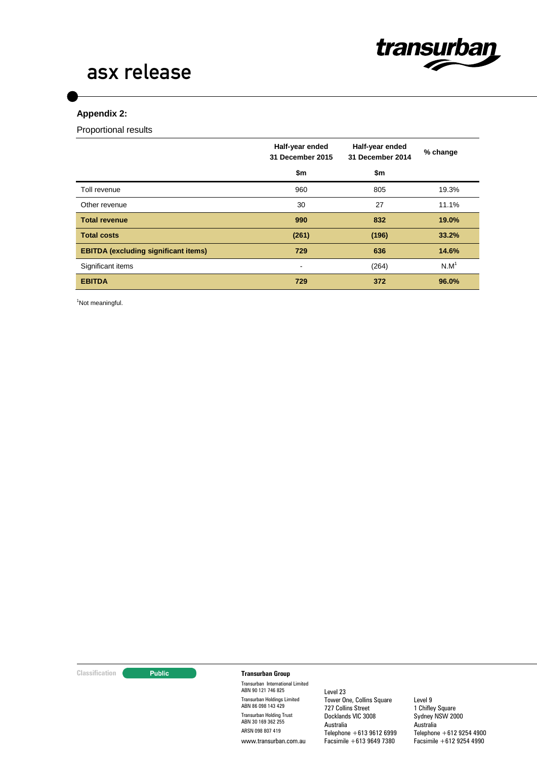

# **Appendix 2:**

Proportional results

|                                             | Half-year ended<br>31 December 2015 | Half-year ended<br>31 December 2014 | % change         |
|---------------------------------------------|-------------------------------------|-------------------------------------|------------------|
|                                             | \$m                                 | \$m                                 |                  |
| Toll revenue                                | 960                                 | 805                                 | 19.3%            |
| Other revenue                               | 30                                  | 27                                  | 11.1%            |
| <b>Total revenue</b>                        | 990                                 | 832                                 | 19.0%            |
| <b>Total costs</b>                          | (261)                               | (196)                               | 33.2%            |
| <b>EBITDA (excluding significant items)</b> | 729                                 | 636                                 | 14.6%            |
| Significant items                           | $\overline{\phantom{a}}$            | (264)                               | N.M <sup>1</sup> |
| <b>EBITDA</b>                               | 729                                 | 372                                 | 96.0%            |

<sup>1</sup>Not meaningful.

### **Classification Transurban Group**

Transurban International Limited ABN 90 121 746 825 Transurban Holdings Limited ABN 86 098 143 429 Transurban Holding Trust ABN 30 169 362 255 ARSN 098 807 419 www.transurban.com.au

Level 23 Tower One, Collins Square 727 Collins Street Docklands VIC 3008 Australia Telephone +613 9612 6999 Facsimile +613 9649 7380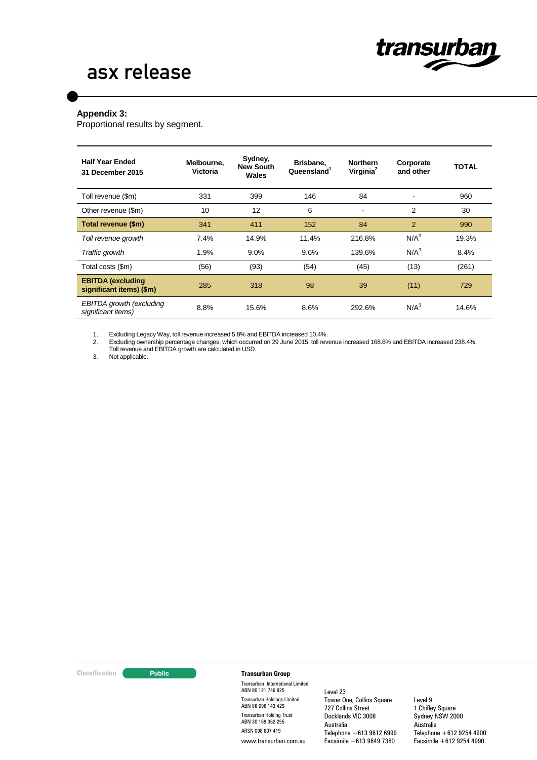

### **Appendix 3:**

Proportional results by segment.

| <b>Half Year Ended</b><br>31 December 2015           | Melbourne.<br>Victoria | Sydney,<br><b>New South</b><br>Wales | Brisbane,<br>Queensland <sup>1</sup> | <b>Northern</b><br>Virginia <sup>2</sup> | Corporate<br>and other | <b>TOTAL</b> |
|------------------------------------------------------|------------------------|--------------------------------------|--------------------------------------|------------------------------------------|------------------------|--------------|
| Toll revenue (\$m)                                   | 331                    | 399                                  | 146                                  | 84                                       |                        | 960          |
| Other revenue (\$m)                                  | 10                     | 12                                   | 6                                    | $\blacksquare$                           | 2                      | 30           |
| Total revenue (\$m)                                  | 341                    | 411                                  | 152                                  | 84                                       | $\overline{2}$         | 990          |
| Toll revenue growth                                  | 7.4%                   | 14.9%                                | 11.4%                                | 216.8%                                   | $N/A^3$                | 19.3%        |
| Traffic growth                                       | 1.9%                   | 9.0%                                 | 9.6%                                 | 139.6%                                   | N/A <sup>3</sup>       | 8.4%         |
| Total costs (\$m)                                    | (56)                   | (93)                                 | (54)                                 | (45)                                     | (13)                   | (261)        |
| <b>EBITDA</b> (excluding<br>significant items) (\$m) | 285                    | 318                                  | 98                                   | 39                                       | (11)                   | 729          |
| EBITDA growth (excluding<br>significant items)       | 8.8%                   | 15.6%                                | 8.6%                                 | 292.6%                                   | N/A <sup>3</sup>       | 14.6%        |

1. Excluding Legacy Way, toll revenue increased 5.8% and EBITDA increased 10.4%.

2. Excluding ownership percentage changes, which occurred on 29 June 2015, toll revenue increased 168.6% and EBITDA increased 238.4%.

Toll revenue and EBITDA growth are calculated in USD.

3. Not applicable.

#### **Classification Transurban Group**

Transurban International Limited ABN 90 121 746 825 Transurban Holdings Limited ABN 86 098 143 429 Transurban Holding Trust ABN 30 169 362 255 ARSN 098 807 419 www.transurban.com.au

Level 23 Tower One, Collins Square 727 Collins Street Docklands VIC 3008 Australia Telephone +613 9612 6999 Facsimile +613 9649 7380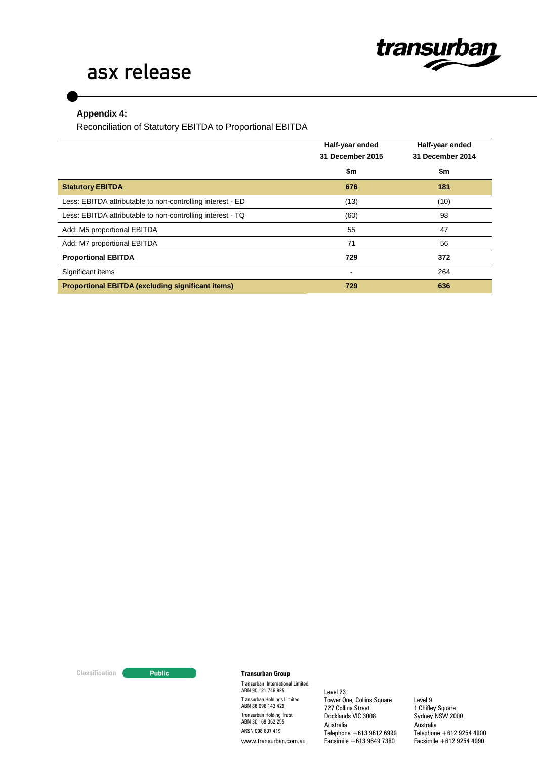

# **Appendix 4:**

Reconciliation of Statutory EBITDA to Proportional EBITDA

|                                                            | Half-year ended<br>31 December 2015 | Half-year ended<br>31 December 2014 |
|------------------------------------------------------------|-------------------------------------|-------------------------------------|
|                                                            | \$m                                 | \$m                                 |
| <b>Statutory EBITDA</b>                                    | 676                                 | 181                                 |
| Less: EBITDA attributable to non-controlling interest - ED | (13)                                | (10)                                |
| Less: EBITDA attributable to non-controlling interest - TQ | (60)                                | 98                                  |
| Add: M5 proportional EBITDA                                | 55                                  | 47                                  |
| Add: M7 proportional EBITDA                                | 71                                  | 56                                  |
| <b>Proportional EBITDA</b>                                 | 729                                 | 372                                 |
| Significant items                                          | ٠                                   | 264                                 |
| <b>Proportional EBITDA (excluding significant items)</b>   | 729                                 | 636                                 |

### **Classification Transurban Group**

Transurban International Limited ABN 90 121 746 825 Transurban Holdings Limited ABN 86 098 143 429 Transurban Holding Trust ABN 30 169 362 255 ARSN 098 807 419 www.transurban.com.au

Level 23 Tower One, Collins Square 727 Collins Street Docklands VIC 3008 Australia Telephone +613 9612 6999 Facsimile +613 9649 7380